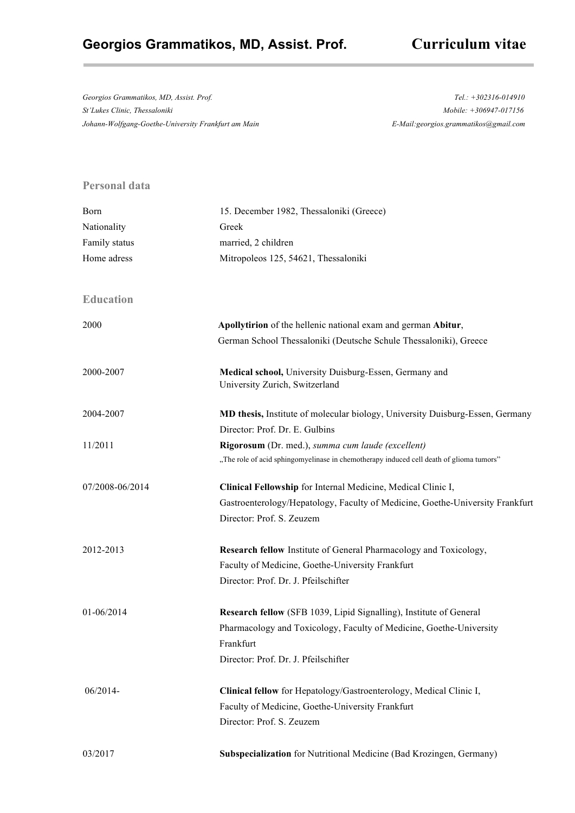# **Georgios Grammatikos, MD, Assist. Prof. Curriculum vitae**

*Georgios Grammatikos, MD, Assist. Prof. Tel.: +302316-014910 St'Lukes Clinic, Thessaloniki Mobile: +306947-017156 Johann-Wolfgang-Goethe-University Frankfurt am Main E-Mail:georgios.grammatikos@gmail.com*

### **Personal data**

| Born             | 15. December 1982, Thessaloniki (Greece)                                                                        |
|------------------|-----------------------------------------------------------------------------------------------------------------|
| Nationality      | Greek                                                                                                           |
| Family status    | married, 2 children                                                                                             |
| Home adress      | Mitropoleos 125, 54621, Thessaloniki                                                                            |
| <b>Education</b> |                                                                                                                 |
| 2000             | Apollytirion of the hellenic national exam and german Abitur,                                                   |
|                  | German School Thessaloniki (Deutsche Schule Thessaloniki), Greece                                               |
| 2000-2007        | Medical school, University Duisburg-Essen, Germany and<br>University Zurich, Switzerland                        |
| 2004-2007        | MD thesis, Institute of molecular biology, University Duisburg-Essen, Germany<br>Director: Prof. Dr. E. Gulbins |
| 11/2011          | Rigorosum (Dr. med.), summa cum laude (excellent)                                                               |
|                  | "The role of acid sphingomyelinase in chemotherapy induced cell death of glioma tumors"                         |
| 07/2008-06/2014  | Clinical Fellowship for Internal Medicine, Medical Clinic I,                                                    |
|                  | Gastroenterology/Hepatology, Faculty of Medicine, Goethe-University Frankfurt                                   |
|                  | Director: Prof. S. Zeuzem                                                                                       |
| 2012-2013        | Research fellow Institute of General Pharmacology and Toxicology,                                               |
|                  | Faculty of Medicine, Goethe-University Frankfurt                                                                |
|                  | Director: Prof. Dr. J. Pfeilschifter                                                                            |
| 01-06/2014       | Research fellow (SFB 1039, Lipid Signalling), Institute of General                                              |
|                  | Pharmacology and Toxicology, Faculty of Medicine, Goethe-University                                             |
|                  | Frankfurt                                                                                                       |
|                  | Director: Prof. Dr. J. Pfeilschifter                                                                            |
| 06/2014-         | Clinical fellow for Hepatology/Gastroenterology, Medical Clinic I,                                              |
|                  | Faculty of Medicine, Goethe-University Frankfurt                                                                |
|                  | Director: Prof. S. Zeuzem                                                                                       |
| 03/2017          | Subspecialization for Nutritional Medicine (Bad Krozingen, Germany)                                             |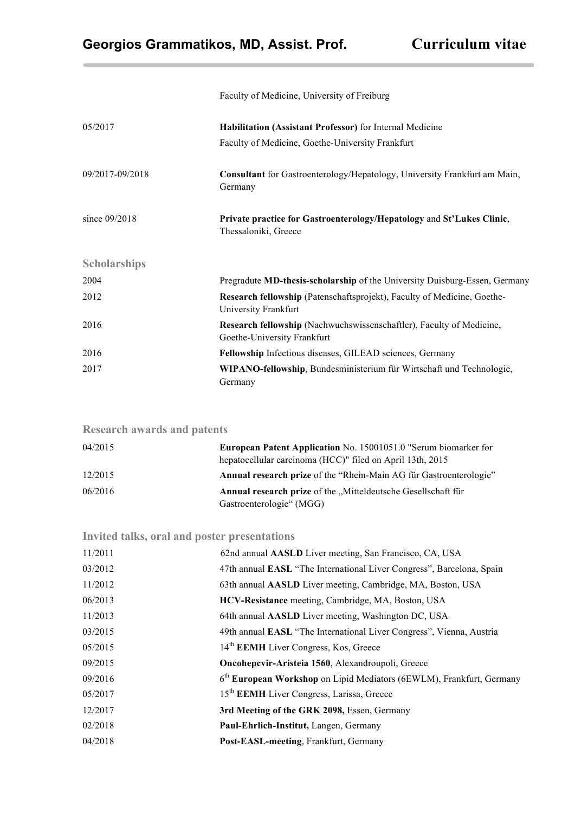|                     | Faculty of Medicine, University of Freiburg                                                         |
|---------------------|-----------------------------------------------------------------------------------------------------|
| 05/2017             | Habilitation (Assistant Professor) for Internal Medicine                                            |
|                     | Faculty of Medicine, Goethe-University Frankfurt                                                    |
| 09/2017-09/2018     | Consultant for Gastroenterology/Hepatology, University Frankfurt am Main,<br>Germany                |
| since $09/2018$     | Private practice for Gastroenterology/Hepatology and St'Lukes Clinic,<br>Thessaloniki, Greece       |
| <b>Scholarships</b> |                                                                                                     |
| 2004                | Pregradute MD-thesis-scholarship of the University Duisburg-Essen, Germany                          |
| 2012                | Research fellowship (Patenschaftsprojekt), Faculty of Medicine, Goethe-<br>University Frankfurt     |
| 2016                | Research fellowship (Nachwuchswissenschaftler), Faculty of Medicine,<br>Goethe-University Frankfurt |
| 2016                | Fellowship Infectious diseases, GILEAD sciences, Germany                                            |
| 2017                | WIPANO-fellowship, Bundesministerium für Wirtschaft und Technologie,<br>Germany                     |

| <b>Research awards and patents</b> |                                                                                                                                     |
|------------------------------------|-------------------------------------------------------------------------------------------------------------------------------------|
| 04/2015                            | <b>European Patent Application</b> No. 15001051.0 "Serum biomarker for<br>hepatocellular carcinoma (HCC)" filed on April 13th, 2015 |
| 12/2015                            | Annual research prize of the "Rhein-Main AG für Gastroenterologie"                                                                  |
| 06/2016                            | Annual research prize of the "Mitteldeutsche Gesellschaft für<br>Gastroenterologie" (MGG)                                           |

## **Invited talks, oral and poster presentations**

| 11/2011 | 62nd annual AASLD Liver meeting, San Francisco, CA, USA                |
|---------|------------------------------------------------------------------------|
| 03/2012 | 47th annual EASL "The International Liver Congress", Barcelona, Spain  |
| 11/2012 | 63th annual AASLD Liver meeting, Cambridge, MA, Boston, USA            |
| 06/2013 | HCV-Resistance meeting, Cambridge, MA, Boston, USA                     |
| 11/2013 | 64th annual AASLD Liver meeting, Washington DC, USA                    |
| 03/2015 | 49th annual EASL "The International Liver Congress", Vienna, Austria   |
| 05/2015 | 14 <sup>th</sup> EEMH Liver Congress, Kos, Greece                      |
| 09/2015 | Oncohepcvir-Aristeia 1560, Alexandroupoli, Greece                      |
| 09/2016 | $6th$ European Workshop on Lipid Mediators (6EWLM), Frankfurt, Germany |
| 05/2017 | 15 <sup>th</sup> EEMH Liver Congress, Larissa, Greece                  |
| 12/2017 | 3rd Meeting of the GRK 2098, Essen, Germany                            |
| 02/2018 | Paul-Ehrlich-Institut, Langen, Germany                                 |
| 04/2018 | Post-EASL-meeting, Frankfurt, Germany                                  |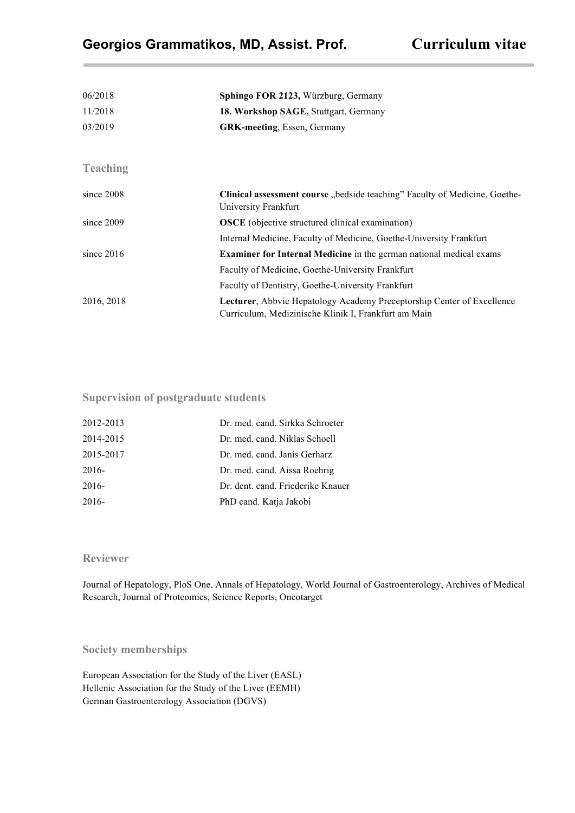| 06/2018         | Sphingo FOR 2123, Würzburg, Germany                                                                                                   |
|-----------------|---------------------------------------------------------------------------------------------------------------------------------------|
| 11/2018         | 18. Workshop SAGE, Stuttgart, Germany                                                                                                 |
| 03/2019         | <b>GRK-meeting, Essen, Germany</b>                                                                                                    |
|                 |                                                                                                                                       |
| <b>Teaching</b> |                                                                                                                                       |
| since $2008$    | <b>Clinical assessment course</b> "bedside teaching" Faculty of Medicine, Goethe-<br>University Frankfurt                             |
| since $2009$    | <b>OSCE</b> (objective structured clinical examination)                                                                               |
|                 | Internal Medicine, Faculty of Medicine, Goethe-University Frankfurt                                                                   |
| since $2016$    | <b>Examiner for Internal Medicine</b> in the german national medical exams                                                            |
|                 | Faculty of Medicine, Goethe-University Frankfurt                                                                                      |
|                 | Faculty of Dentistry, Goethe-University Frankfurt                                                                                     |
| 2016, 2018      | <b>Lecturer, Abbyie Hepatology Academy Preceptorship Center of Excellence</b><br>Curriculum, Medizinische Klinik I, Frankfurt am Main |

**Supervision of postgraduate students**

| 2012-2013 | Dr. med. cand. Sirkka Schroeter   |
|-----------|-----------------------------------|
| 2014-2015 | Dr. med. cand. Niklas Schoell     |
| 2015-2017 | Dr. med. cand. Janis Gerharz      |
| $2016-$   | Dr. med. cand. Aissa Roehrig      |
| $2016-$   | Dr. dent. cand. Friederike Knauer |
| $2016 -$  | PhD cand. Katja Jakobi            |

#### **Reviewer**

Journal of Hepatology, PloS One, Annals of Hepatology, World Journal of Gastroenterology, Archives of Medical Research, Journal of Proteomics, Science Reports, Oncotarget

**Society memberships**

European Association for the Study of the Liver (EASL) Hellenic Association for the Study of the Liver (EEMH) German Gastroenterology Association (DGVS)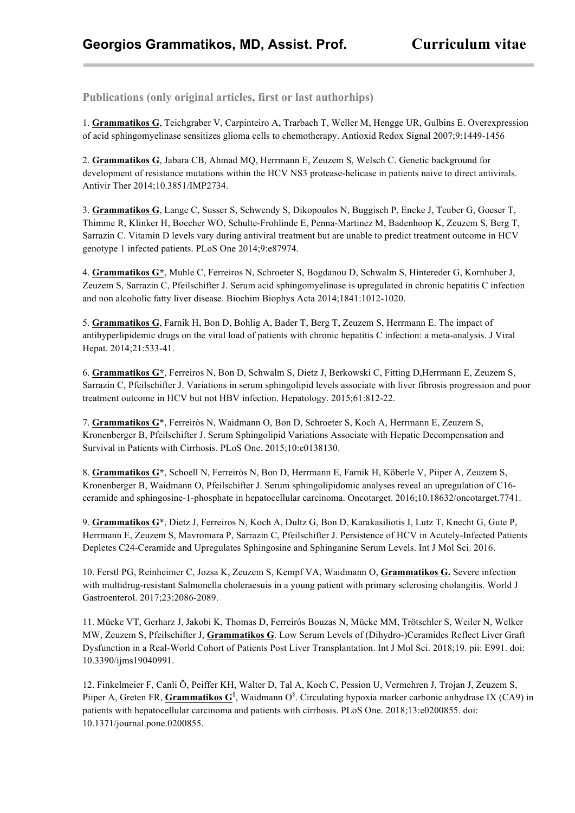**Publications (only original articles, first or last authorhips)**

1. **Grammatikos G**, Teichgraber V, Carpinteiro A, Trarbach T, Weller M, Hengge UR, Gulbins E. Overexpression of acid sphingomyelinase sensitizes glioma cells to chemotherapy. Antioxid Redox Signal 2007;9:1449-1456

2. **Grammatikos G**, Jabara CB, Ahmad MQ, Herrmann E, Zeuzem S, Welsch C. Genetic background for development of resistance mutations within the HCV NS3 protease-helicase in patients naive to direct antivirals. Antivir Ther 2014;10.3851/IMP2734.

3. **Grammatikos G**, Lange C, Susser S, Schwendy S, Dikopoulos N, Buggisch P, Encke J, Teuber G, Goeser T, Thimme R, Klinker H, Boecher WO, Schulte-Frohlinde E, Penna-Martinez M, Badenhoop K, Zeuzem S, Berg T, Sarrazin C. Vitamin D levels vary during antiviral treatment but are unable to predict treatment outcome in HCV genotype 1 infected patients. PLoS One 2014;9:e87974.

4. **Grammatikos G\***, Muhle C, Ferreiros N, Schroeter S, Bogdanou D, Schwalm S, Hintereder G, Kornhuber J, Zeuzem S, Sarrazin C, Pfeilschifter J. Serum acid sphingomyelinase is upregulated in chronic hepatitis C infection and non alcoholic fatty liver disease. Biochim Biophys Acta 2014;1841:1012-1020.

5. **Grammatikos G**, Farnik H, Bon D, Bohlig A, Bader T, Berg T, Zeuzem S, Herrmann E. The impact of antihyperlipidemic drugs on the viral load of patients with chronic hepatitis C infection: a meta-analysis. J Viral Hepat. 2014;21:533-41.

6. **Grammatikos G\***, Ferreiros N, Bon D, Schwalm S, Dietz J, Berkowski C, Fitting D,Herrmann E, Zeuzem S, Sarrazin C, Pfeilschifter J. Variations in serum sphingolipid levels associate with liver fibrosis progression and poor treatment outcome in HCV but not HBV infection. Hepatology. 2015;61:812-22.

7. **Grammatikos G**\*, Ferreiròs N, Waidmann O, Bon D, Schroeter S, Koch A, Herrmann E, Zeuzem S, Kronenberger B, Pfeilschifter J. Serum Sphingolipid Variations Associate with Hepatic Decompensation and Survival in Patients with Cirrhosis. PLoS One. 2015;10:e0138130.

8. **Grammatikos G\***, Schoell N, Ferreiròs N, Bon D, Herrmann E, Farnik H, Köberle V, Piiper A, Zeuzem S, Kronenberger B, Waidmann O, Pfeilschifter J. Serum sphingolipidomic analyses reveal an upregulation of C16 ceramide and sphingosine-1-phosphate in hepatocellular carcinoma. Oncotarget. 2016;10.18632/oncotarget.7741.

9. **Grammatikos G**\*, Dietz J, Ferreiros N, Koch A, Dultz G, Bon D, Karakasiliotis I, Lutz T, Knecht G, Gute P, Herrmann E, Zeuzem S, Mavromara P, Sarrazin C, Pfeilschifter J. Persistence of HCV in Acutely-Infected Patients Depletes C24-Ceramide and Upregulates Sphingosine and Sphinganine Serum Levels. Int J Mol Sci. 2016.

10. Ferstl PG, Reinheimer C, Jozsa K, Zeuzem S, Kempf VA, Waidmann O, **Grammatikos G.** Severe infection with multidrug-resistant Salmonella choleraesuis in a young patient with primary sclerosing cholangitis. World J Gastroenterol. 2017;23:2086-2089.

11. Mücke VT, Gerharz J, Jakobi K, Thomas D, Ferreirós Bouzas N, Mücke MM, Trötschler S, Weiler N, Welker MW, Zeuzem S, Pfeilschifter J, **Grammatikos G**. Low Serum Levels of (Dihydro-)Ceramides Reflect Liver Graft Dysfunction in a Real-World Cohort of Patients Post Liver Transplantation. Int J Mol Sci. 2018;19. pii: E991. doi: 10.3390/ijms19040991.

12. Finkelmeier F, Canli Ö, Peiffer KH, Walter D, Tal A, Koch C, Pession U, Vermehren J, Trojan J, Zeuzem S, Piiper A, Greten FR, **Grammatikos G**<sup>§</sup>, Waidmann O<sup>§</sup>. Circulating hypoxia marker carbonic anhydrase IX (CA9) in patients with hepatocellular carcinoma and patients with cirrhosis. PLoS One. 2018;13:e0200855. doi: 10.1371/journal.pone.0200855.